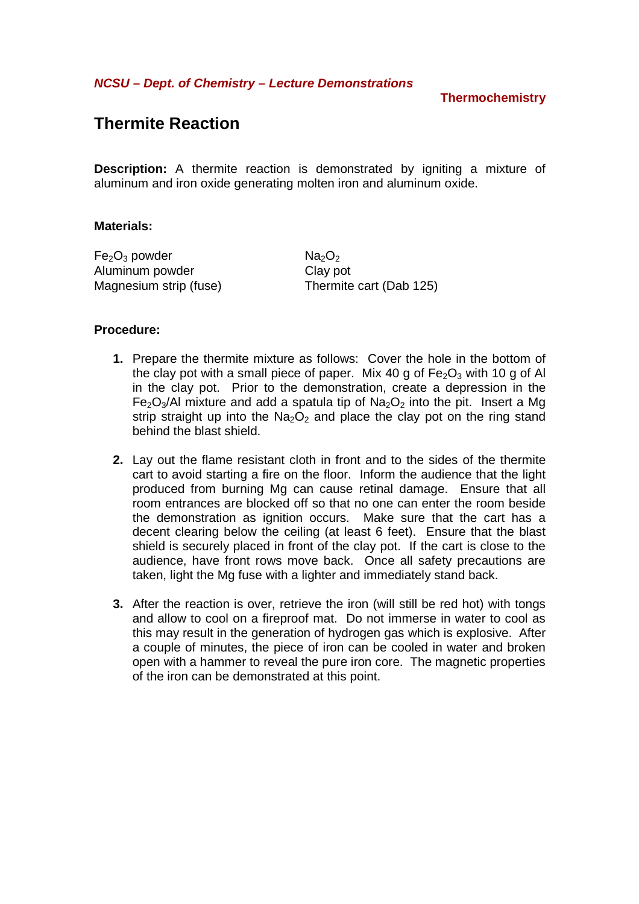**NCSU – Dept. of Chemistry – Lecture Demonstrations** 

**Thermochemistry** 

# **Thermite Reaction**

**Description:** A thermite reaction is demonstrated by igniting a mixture of aluminum and iron oxide generating molten iron and aluminum oxide.

### **Materials:**

 $Fe<sub>2</sub>O<sub>3</sub>$  powder  $Na<sub>2</sub>O<sub>2</sub>$ Aluminum powder Clay pot Magnesium strip (fuse) Thermite cart (Dab 125)

### **Procedure:**

- **1.** Prepare the thermite mixture as follows: Cover the hole in the bottom of the clay pot with a small piece of paper. Mix 40 g of  $Fe<sub>2</sub>O<sub>3</sub>$  with 10 g of Al in the clay pot. Prior to the demonstration, create a depression in the  $Fe<sub>2</sub>O<sub>3</sub>/Al$  mixture and add a spatula tip of  $Na<sub>2</sub>O<sub>2</sub>$  into the pit. Insert a Mg strip straight up into the  $Na<sub>2</sub>O<sub>2</sub>$  and place the clay pot on the ring stand behind the blast shield.
- **2.** Lay out the flame resistant cloth in front and to the sides of the thermite cart to avoid starting a fire on the floor. Inform the audience that the light produced from burning Mg can cause retinal damage. Ensure that all room entrances are blocked off so that no one can enter the room beside the demonstration as ignition occurs. Make sure that the cart has a decent clearing below the ceiling (at least 6 feet). Ensure that the blast shield is securely placed in front of the clay pot. If the cart is close to the audience, have front rows move back. Once all safety precautions are taken, light the Mg fuse with a lighter and immediately stand back.
- **3.** After the reaction is over, retrieve the iron (will still be red hot) with tongs and allow to cool on a fireproof mat. Do not immerse in water to cool as this may result in the generation of hydrogen gas which is explosive. After a couple of minutes, the piece of iron can be cooled in water and broken open with a hammer to reveal the pure iron core. The magnetic properties of the iron can be demonstrated at this point.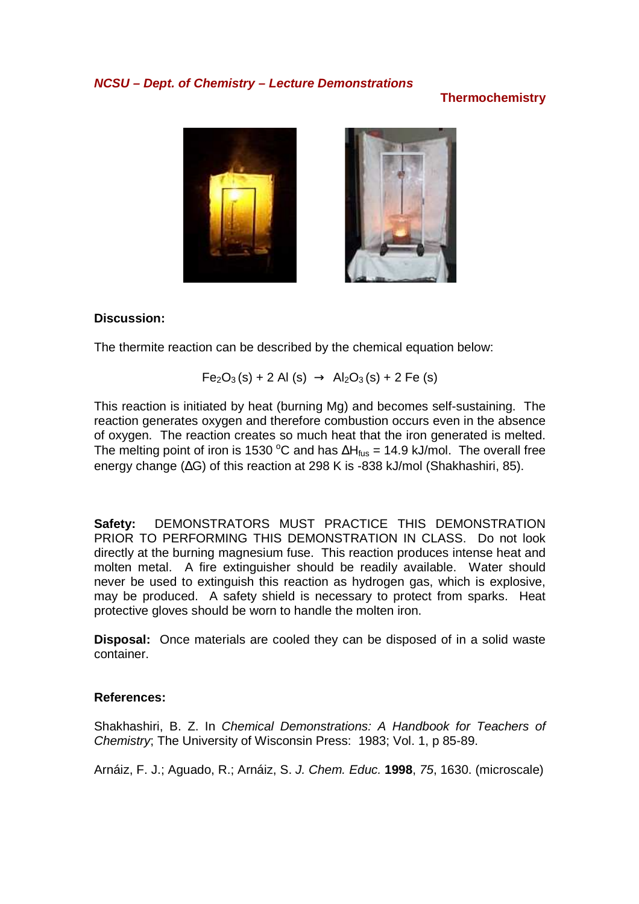## **NCSU – Dept. of Chemistry – Lecture Demonstrations**

## **Thermochemistry**



## **Discussion:**

The thermite reaction can be described by the chemical equation below:

$$
Fe2O3(s) + 2 Al (s) \rightarrow Al2O3(s) + 2 Fe (s)
$$

This reaction is initiated by heat (burning Mg) and becomes self-sustaining. The reaction generates oxygen and therefore combustion occurs even in the absence of oxygen. The reaction creates so much heat that the iron generated is melted. The melting point of iron is 1530 °C and has  $\Delta H_{fus}$  = 14.9 kJ/mol. The overall free energy change (∆G) of this reaction at 298 K is -838 kJ/mol (Shakhashiri, 85).

**Safety:** DEMONSTRATORS MUST PRACTICE THIS DEMONSTRATION PRIOR TO PERFORMING THIS DEMONSTRATION IN CLASS. Do not look directly at the burning magnesium fuse. This reaction produces intense heat and molten metal. A fire extinguisher should be readily available. Water should never be used to extinguish this reaction as hydrogen gas, which is explosive, may be produced. A safety shield is necessary to protect from sparks. Heat protective gloves should be worn to handle the molten iron.

**Disposal:** Once materials are cooled they can be disposed of in a solid waste container.

### **References:**

Shakhashiri, B. Z. In Chemical Demonstrations: A Handbook for Teachers of Chemistry; The University of Wisconsin Press: 1983; Vol. 1, p 85-89.

Arnáiz, F. J.; Aguado, R.; Arnáiz, S. J. Chem. Educ. **1998**, 75, 1630. (microscale)